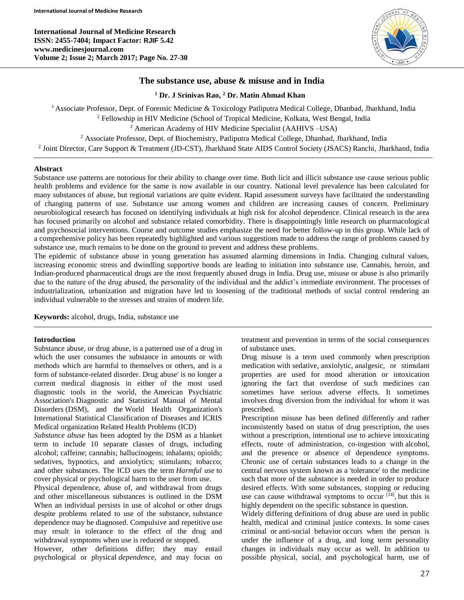**International Journal of Medicine Research ISSN: 2455-7404; Impact Factor: RJIF 5.42 www.medicinesjournal.com Volume 2; Issue 2; March 2017; Page No. 27-30**



# **The substance use, abuse & misuse and in India**

**<sup>1</sup> Dr. J Srinivas Rao, <sup>2</sup> Dr. Matin Ahmad Khan**

<sup>1</sup> Associate Professor, Dept. of Forensic Medicine & Toxicology Patliputra Medical College, Dhanbad, Jharkhand, India <sup>2</sup> Fellowship in HIV Medicine (School of Tropical Medicine, Kolkata, West Bengal, India <sup>2</sup> American Academy of HIV Medicine Specialist (AAHIVS –USA) <sup>2</sup> Associate Professor, Dept. of Biochemistry, Patliputra Medical College, Dhanbad, Jharkhand, India 2 Joint Director, Care Support & Treatment (JD-CST), Jharkhand State AIDS Control Society (JSACS) Ranchi, Jharkhand, India

### **Abstract**

Substance use patterns are notorious for their ability to change over time. Both licit and illicit substance use cause serious public health problems and evidence for the same is now available in our country. National level prevalence has been calculated for many substances of abuse, but regional variations are quite evident. Rapid assessment surveys have facilitated the understanding of changing patterns of use. Substance use among women and children are increasing causes of concern. Preliminary neurobiological research has focused on identifying individuals at high risk for alcohol dependence. Clinical research in the area has focused primarily on alcohol and substance related comorbidity. There is disappointingly little research on pharmacological and psychosocial interventions. Course and outcome studies emphasize the need for better follow-up in this group. While lack of a comprehensive policy has been repeatedly highlighted and various suggestions made to address the range of problems caused by substance use, much remains to be done on the ground to prevent and address these problems.

The epidemic of substance abuse in young generation has assumed alarming dimensions in India. Changing cultural values, increasing economic stress and dwindling supportive bonds are leading to initiation into substance use. Cannabis, heroin, and Indian-produced pharmaceutical drugs are the most frequently abused drugs in India. Drug use, misuse or abuse is also primarily due to the nature of the drug abused, the personality of the individual and the addict's immediate environment. The processes of industrialization, urbanization and migration have led to loosening of the traditional methods of social control rendering an individual vulnerable to the stresses and strains of modern life.

**Keywords:** alcohol, drugs, India, substance use

### **Introduction**

Substance abuse, or drug abuse, is a patterned use of a drug in which the user consumes the substance in amounts or with methods which are harmful to themselves or others, and is a form of substance-related disorder. Drug abuse' is no longer a current medical diagnosis in either of the most used diagnostic tools in the world, the American Psychiatric Association's Diagnostic and Statistical Manual of Mental Disorders (DSM), and the World Health Organization's International Statistical Classification of Diseases and ICRIS Medical organization Related Health Problems (ICD)

*Substance abuse* has been adopted by the DSM as a blanket term to include 10 separate classes of drugs, including alcohol; caffeine; cannabis; hallucinogens; inhalants; opioids; sedatives, hypnotics, and anxiolytics; stimulants; tobacco; and other substances. The ICD uses the term *Harmful use* to cover physical or psychological harm to the user from use.

Physical dependence, abuse of, and withdrawal from drugs and other miscellaneous substances is outlined in the DSM When an individual persists in use of alcohol or other drugs despite problems related to use of the substance, substance dependence may be diagnosed. Compulsive and repetitive use may result in tolerance to the effect of the drug and withdrawal symptoms when use is reduced or stopped.

However, other definitions differ; they may entail psychological or physical *dependence*, and may focus on treatment and prevention in terms of the social consequences of substance uses.

Drug misuse is a term used commonly when prescription medication with sedative, anxiolytic, analgesic, or stimulant properties are used for mood alteration or intoxication ignoring the fact that overdose of such medicines can sometimes have serious adverse effects. It sometimes involves drug diversion from the individual for whom it was prescribed.

Prescription misuse has been defined differently and rather inconsistently based on status of drug prescription, the uses without a prescription, intentional use to achieve intoxicating effects, route of administration, co-ingestion with alcohol, and the presence or absence of dependence symptoms. Chronic use of certain substances leads to a change in the central nervous system known as a 'tolerance' to the medicine such that more of the substance is needed in order to produce desired effects. With some substances, stopping or reducing use can cause withdrawal symptoms to occur<sup>[14]</sup>, but this is highly dependent on the specific substance in question.

Widely differing definitions of drug abuse are used in public health, medical and criminal justice contexts. In some cases criminal or anti-social behavior occurs when the person is under the influence of a drug, and long term personality changes in individuals may occur as well. In addition to possible physical, social, and psychological harm, use of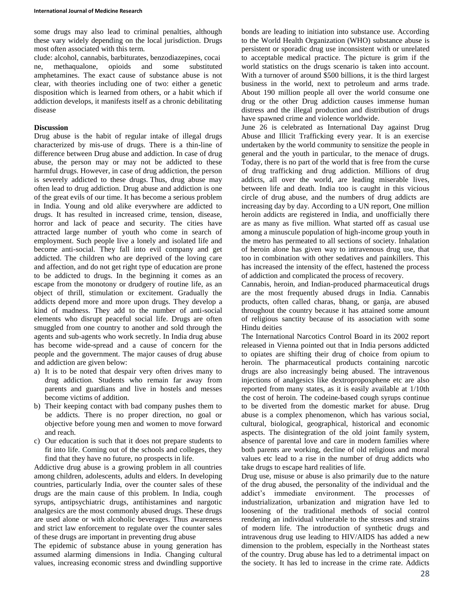some drugs may also lead to criminal penalties, although these vary widely depending on the local jurisdiction. Drugs most often associated with this term.

clude: alcohol, cannabis, barbiturates, benzodiazepines, cocai ne, methaqualone, opioids and some substituted amphetamines. The exact cause of substance abuse is not clear, with theories including one of two: either a genetic disposition which is learned from others, or a habit which if addiction develops, it manifests itself as a chronic debilitating disease

# **Discussion**

Drug abuse is the habit of regular intake of illegal drugs characterized by mis-use of drugs. There is a thin-line of difference between Drug abuse and addiction. In case of drug abuse, the person may or may not be addicted to these harmful drugs. However, in case of drug addiction, the person is severely addicted to these drugs. Thus, drug abuse may often lead to drug addiction. Drug abuse and addiction is one of the great evils of our time. It has become a serious problem in India. Young and old alike everywhere are addicted to drugs. It has resulted in increased crime, tension, disease, horror and lack of peace and security. The cities have attracted large number of youth who come in search of employment. Such people live a lonely and isolated life and become anti-social. They fall into evil company and get addicted. The children who are deprived of the loving care and affection, and do not get right type of education are prone to be addicted to drugs. In the beginning it comes as an escape from the monotony or drudgery of routine life, as an object of thrill, stimulation or excitement. Gradually the addicts depend more and more upon drugs. They develop a kind of madness. They add to the number of anti-social elements who disrupt peaceful social life. Drugs are often smuggled from one country to another and sold through the agents and sub-agents who work secretly. In India drug abuse has become wide-spread and a cause of concern for the people and the government. The major causes of drug abuse and addiction are given below:

- a) It is to be noted that despair very often drives many to drug addiction. Students who remain far away from parents and guardians and live in hostels and messes become victims of addition.
- b) Their keeping contact with bad company pushes them to be addicts. There is no proper direction, no goal or objective before young men and women to move forward and reach.
- c) Our education is such that it does not prepare students to fit into life. Coming out of the schools and colleges, they find that they have no future, no prospects in life.

Addictive drug abuse is a growing problem in all countries among children, adolescents, adults and elders. In developing countries, particularly India, over the counter sales of these drugs are the main cause of this problem. In India, cough syrups, antipsychiatric drugs, antihistamines and nargotic analgesics are the most commonly abused drugs. These drugs are used alone or with alcoholic beverages. Thus awareness and strict law enforcement to regulate over the counter sales of these drugs are important in preventing drug abuse

The epidemic of substance abuse in young generation has assumed alarming dimensions in India. Changing cultural values, increasing economic stress and dwindling supportive bonds are leading to initiation into substance use. According to the World Health Organization (WHO) substance abuse is persistent or sporadic drug use inconsistent with or unrelated to acceptable medical practice. The picture is grim if the world statistics on the drugs scenario is taken into account. With a turnover of around \$500 billions, it is the third largest business in the world, next to petroleum and arms trade. About 190 million people all over the world consume one drug or the other Drug addiction causes immense human distress and the illegal production and distribution of drugs have spawned crime and violence worldwide.

June 26 is celebrated as International Day against Drug Abuse and Illicit Trafficking every year. It is an exercise undertaken by the world community to sensitize the people in general and the youth in particular, to the menace of drugs. Today, there is no part of the world that is free from the curse of drug trafficking and drug addiction. Millions of drug addicts, all over the world, are leading miserable lives, between life and death. India too is caught in this vicious circle of drug abuse, and the numbers of drug addicts are increasing day by day. According to a UN report, One million heroin addicts are registered in India, and unofficially there are as many as five million. What started off as casual use among a minuscule population of high-income group youth in the metro has permeated to all sections of society. Inhalation of heroin alone has given way to intravenous drug use, that too in combination with other sedatives and painkillers. This has increased the intensity of the effect, hastened the process of addiction and complicated the process of recovery.

Cannabis, heroin, and Indian-produced pharmaceutical drugs are the most frequently abused drugs in India. Cannabis products, often called charas, bhang, or ganja, are abused throughout the country because it has attained some amount of religious sanctity because of its association with some Hindu deities

The International Narcotics Control Board in its 2002 report released in Vienna pointed out that in India persons addicted to opiates are shifting their drug of choice from opium to heroin. The pharmaceutical products containing narcotic drugs are also increasingly being abused. The intravenous injections of analgesics like dextropropoxphene etc are also reported from many states, as it is easily available at 1/10th the cost of heroin. The codeine-based cough syrups continue to be diverted from the domestic market for abuse. Drug abuse is a complex phenomenon, which has various social, cultural, biological, geographical, historical and economic aspects. The disintegration of the old joint family system, absence of parental love and care in modern families where both parents are working, decline of old religious and moral values etc lead to a rise in the number of drug addicts who take drugs to escape hard realities of life.

Drug use, misuse or abuse is also primarily due to the nature of the drug abused, the personality of the individual and the addict's immediate environment. The processes of industrialization, urbanization and migration have led to loosening of the traditional methods of social control rendering an individual vulnerable to the stresses and strains of modern life. The introduction of synthetic drugs and intravenous drug use leading to HIV/AIDS has added a new dimension to the problem, especially in the Northeast states of the country. Drug abuse has led to a detrimental impact on the society. It has led to increase in the crime rate. Addicts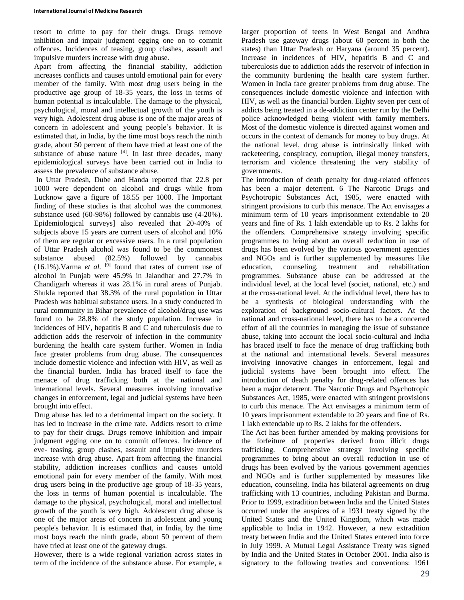resort to crime to pay for their drugs. Drugs remove inhibition and impair judgment egging one on to commit offences. Incidences of teasing, group clashes, assault and impulsive murders increase with drug abuse.

Apart from affecting the financial stability, addiction increases conflicts and causes untold emotional pain for every member of the family. With most drug users being in the productive age group of 18-35 years, the loss in terms of human potential is incalculable. The damage to the physical, psychological, moral and intellectual growth of the youth is very high. Adolescent drug abuse is one of the major areas of concern in adolescent and young people's behavior. It is estimated that, in India, by the time most boys reach the ninth grade, about 50 percent of them have tried at least one of the substance of abuse nature  $[4]$ . In last three decades, many epidemiological surveys have been carried out in India to assess the prevalence of substance abuse.

In Uttar Pradesh, Dube and Handa reported that 22.8 per 1000 were dependent on alcohol and drugs while from Lucknow gave a figure of 18.55 per 1000. The Important finding of these studies is that alcohol was the commonest substance used (60-98%) followed by cannabis use (4-20%). Epidemiological surveys] also revealed that 20-40% of subjects above 15 years are current users of alcohol and 10% of them are regular or excessive users. In a rural population of Uttar Pradesh alcohol was found to be the commonest<br>substance abused (82.5%) followed by cannabis substance abused (82.5%) followed by cannabis  $(16.1\%)$ . Varma *et al.* <sup>[9]</sup> found that rates of current use of alcohol in Punjab were 45.9% in Jalandhar and 27.7% in Chandigarh whereas it was 28.1% in rural areas of Punjab. Shukla reported that 38.3% of the rural population in Uttar Pradesh was habitual substance users. In a study conducted in rural community in Bihar prevalence of alcohol/drug use was found to be 28.8% of the study population. Increase in incidences of HIV, hepatitis B and C and tuberculosis due to addiction adds the reservoir of infection in the community burdening the health care system further. Women in India face greater problems from drug abuse. The consequences include domestic violence and infection with HIV, as well as the financial burden. India has braced itself to face the menace of drug trafficking both at the national and international levels. Several measures involving innovative changes in enforcement, legal and judicial systems have been brought into effect.

Drug abuse has led to a detrimental impact on the society. It has led to increase in the crime rate. Addicts resort to crime to pay for their drugs. Drugs remove inhibition and impair judgment egging one on to commit offences. Incidence of eve- teasing, group clashes, assault and impulsive murders increase with drug abuse. Apart from affecting the financial stability, addiction increases conflicts and causes untold emotional pain for every member of the family. With most drug users being in the productive age group of 18-35 years, the loss in terms of human potential is incalculable. The damage to the physical, psychological, moral and intellectual growth of the youth is very high. Adolescent drug abuse is one of the major areas of concern in adolescent and young people's behavior. It is estimated that, in India, by the time most boys reach the ninth grade, about 50 percent of them have tried at least one of the gateway drugs.

However, there is a wide regional variation across states in term of the incidence of the substance abuse. For example, a

larger proportion of teens in West Bengal and Andhra Pradesh use gateway drugs (about 60 percent in both the states) than Uttar Pradesh or Haryana (around 35 percent). Increase in incidences of HIV, hepatitis B and C and tuberculosis due to addiction adds the reservoir of infection in the community burdening the health care system further. Women in India face greater problems from drug abuse. The consequences include domestic violence and infection with HIV, as well as the financial burden. Eighty seven per cent of addicts being treated in a de-addiction center run by the Delhi police acknowledged being violent with family members. Most of the domestic violence is directed against women and occurs in the context of demands for money to buy drugs. At the national level, drug abuse is intrinsically linked with racketeering, conspiracy, corruption, illegal money transfers, terrorism and violence threatening the very stability of governments.

The introduction of death penalty for drug-related offences has been a major deterrent. 6 The Narcotic Drugs and Psychotropic Substances Act, 1985, were enacted with stringent provisions to curb this menace. The Act envisages a minimum term of 10 years imprisonment extendable to 20 years and fine of Rs. 1 lakh extendable up to Rs. 2 lakhs for the offenders. Comprehensive strategy involving specific programmes to bring about an overall reduction in use of drugs has been evolved by the various government agencies and NGOs and is further supplemented by measures like education, counseling, treatment and rehabilitation programmes. Substance abuse can be addressed at the individual level, at the local level (societ, national, etc.) and at the cross-national level. At the individual level, there has to be a synthesis of biological understanding with the exploration of background socio-cultural factors. At the national and cross-national level, there has to be a concerted effort of all the countries in managing the issue of substance abuse, taking into account the local socio-cultural and India has braced itself to face the menace of drug trafficking both at the national and international levels. Several measures involving innovative changes in enforcement, legal and judicial systems have been brought into effect. The introduction of death penalty for drug-related offences has been a major deterrent. The Narcotic Drugs and Psychotropic Substances Act, 1985, were enacted with stringent provisions to curb this menace. The Act envisages a minimum term of 10 years imprisonment extendable to 20 years and fine of Rs. 1 lakh extendable up to Rs. 2 lakhs for the offenders.

The Act has been further amended by making provisions for the forfeiture of properties derived from illicit drugs trafficking. Comprehensive strategy involving specific programmes to bring about an overall reduction in use of drugs has been evolved by the various government agencies and NGOs and is further supplemented by measures like education, counseling. India has bilateral agreements on drug trafficking with 13 countries, including Pakistan and Burma. Prior to 1999, extradition between India and the United States occurred under the auspices of a 1931 treaty signed by the United States and the United Kingdom, which was made applicable to India in 1942. However, a new extradition treaty between India and the United States entered into force in July 1999. A Mutual Legal Assistance Treaty was signed by India and the United States in October 2001. India also is signatory to the following treaties and conventions: 1961